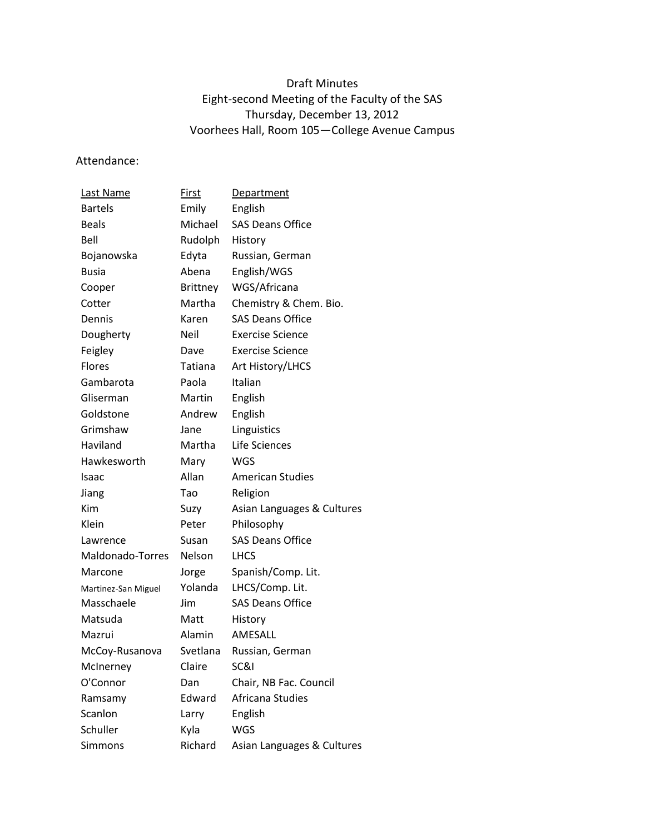## Draft Minutes Eight-second Meeting of the Faculty of the SAS Thursday, December 13, 2012 Voorhees Hall, Room 105—College Avenue Campus

Attendance:

| Last Name           | First        | <b>Department</b>          |
|---------------------|--------------|----------------------------|
| <b>Bartels</b>      | Emily        | English                    |
| <b>Beals</b>        | Michael      | <b>SAS Deans Office</b>    |
| Bell                | Rudolph      | History                    |
| Bojanowska          | Edyta        | Russian, German            |
| <b>Busia</b>        | Abena        | English/WGS                |
| Cooper              | Brittney     | WGS/Africana               |
| Cotter              | Martha       | Chemistry & Chem. Bio.     |
| Dennis              | Karen        | <b>SAS Deans Office</b>    |
| Dougherty           | Neil         | <b>Exercise Science</b>    |
| Feigley             | Dave         | <b>Exercise Science</b>    |
| Flores              | Tatiana      | Art History/LHCS           |
| Gambarota           | Paola        | Italian                    |
| Gliserman           | Martin       | English                    |
| Goldstone           | Andrew       | English                    |
| Grimshaw            | Jane         | Linguistics                |
| Haviland            | Martha       | Life Sciences              |
| Hawkesworth         | Mary         | <b>WGS</b>                 |
| Isaac               | <b>Allan</b> | <b>American Studies</b>    |
| Jiang               | Tao          | Religion                   |
| Kim                 | Suzy         | Asian Languages & Cultures |
| Klein               | Peter        | Philosophy                 |
| Lawrence            | Susan        | <b>SAS Deans Office</b>    |
| Maldonado-Torres    | Nelson       | <b>LHCS</b>                |
| Marcone             | Jorge        | Spanish/Comp. Lit.         |
| Martinez-San Miguel | Yolanda      | LHCS/Comp. Lit.            |
| Masschaele          | Jim          | <b>SAS Deans Office</b>    |
| Matsuda             | Matt         | History                    |
| Mazrui              | Alamin       | <b>AMFSALL</b>             |
| McCoy-Rusanova      | Svetlana     | Russian, German            |
| McInerney           | Claire       | SC&I                       |
| O'Connor            | Dan          | Chair, NB Fac. Council     |
| Ramsamy             | Edward       | Africana Studies           |
| Scanlon             | Larry        | English                    |
| Schuller            | Kyla         | <b>WGS</b>                 |
| Simmons             | Richard      | Asian Languages & Cultures |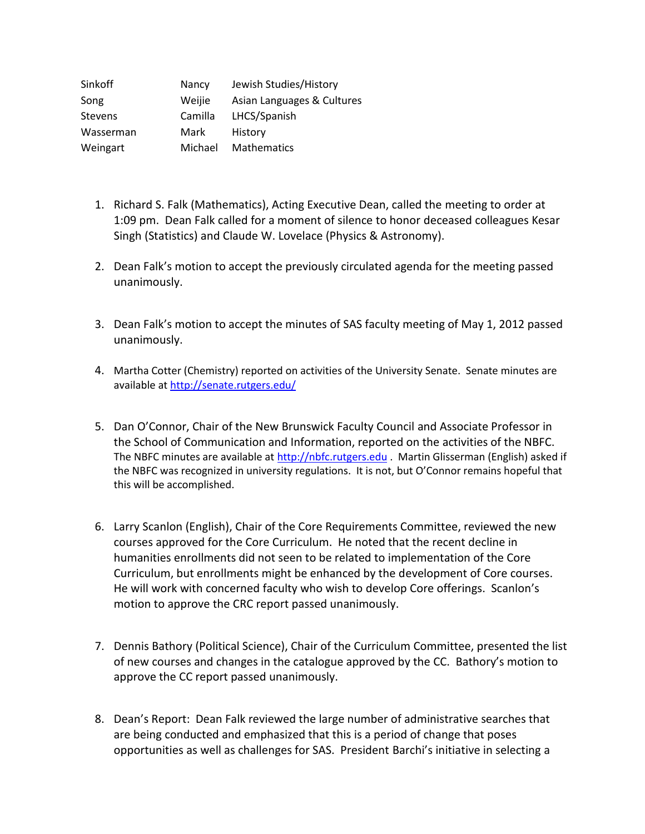| Sinkoff        | Nancy   | Jewish Studies/History     |
|----------------|---------|----------------------------|
| Song           | Weijie  | Asian Languages & Cultures |
| <b>Stevens</b> | Camilla | LHCS/Spanish               |
| Wasserman      | Mark    | History                    |
| Weingart       | Michael | Mathematics                |

- 1. Richard S. Falk (Mathematics), Acting Executive Dean, called the meeting to order at 1:09 pm. Dean Falk called for a moment of silence to honor deceased colleagues Kesar Singh (Statistics) and Claude W. Lovelace (Physics & Astronomy).
- 2. Dean Falk's motion to accept the previously circulated agenda for the meeting passed unanimously.
- 3. Dean Falk's motion to accept the minutes of SAS faculty meeting of May 1, 2012 passed unanimously.
- 4. Martha Cotter (Chemistry) reported on activities of the University Senate. Senate minutes are available a[t http://senate.rutgers.edu/](http://senate.rutgers.edu/)
- 5. Dan O'Connor, Chair of the New Brunswick Faculty Council and Associate Professor in the School of Communication and Information, reported on the activities of the NBFC. The NBFC minutes are available at [http://nbfc.rutgers.edu](http://nbfc.rutgers.edu/) . Martin Glisserman (English) asked if the NBFC was recognized in university regulations. It is not, but O'Connor remains hopeful that this will be accomplished.
- 6. Larry Scanlon (English), Chair of the Core Requirements Committee, reviewed the new courses approved for the Core Curriculum. He noted that the recent decline in humanities enrollments did not seen to be related to implementation of the Core Curriculum, but enrollments might be enhanced by the development of Core courses. He will work with concerned faculty who wish to develop Core offerings. Scanlon's motion to approve the CRC report passed unanimously.
- 7. Dennis Bathory (Political Science), Chair of the Curriculum Committee, presented the list of new courses and changes in the catalogue approved by the CC. Bathory's motion to approve the CC report passed unanimously.
- 8. Dean's Report: Dean Falk reviewed the large number of administrative searches that are being conducted and emphasized that this is a period of change that poses opportunities as well as challenges for SAS. President Barchi's initiative in selecting a